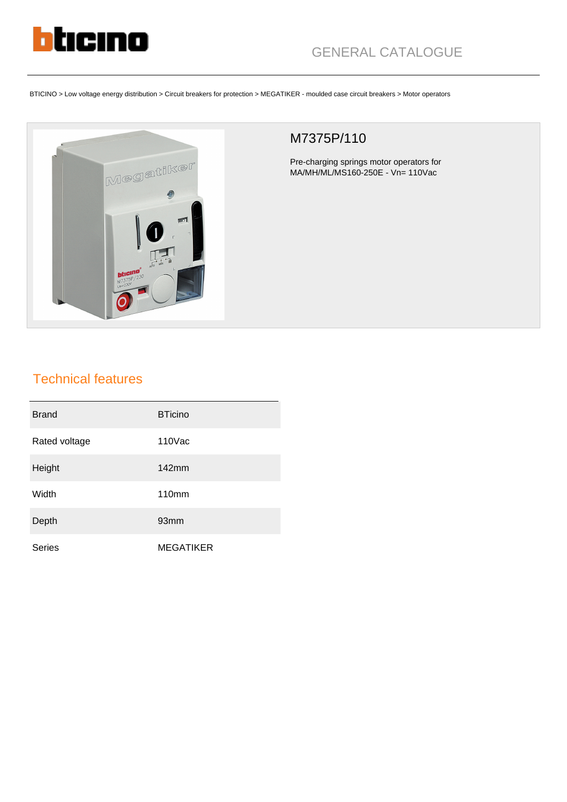

BTICINO > Low voltage energy distribution > Circuit breakers for protection > MEGATIKER - moulded case circuit breakers > Motor operators



## M7375P/110

Pre-charging springs motor operators for MA/MH/ML/MS160-250E - Vn= 110Vac

## Technical features

| <b>Brand</b>  | <b>BTicino</b>   |
|---------------|------------------|
| Rated voltage | $110$ Vac        |
| Height        | 142mm            |
| Width         | <b>110mm</b>     |
| Depth         | 93 <sub>mm</sub> |
| <b>Series</b> | <b>MEGATIKER</b> |